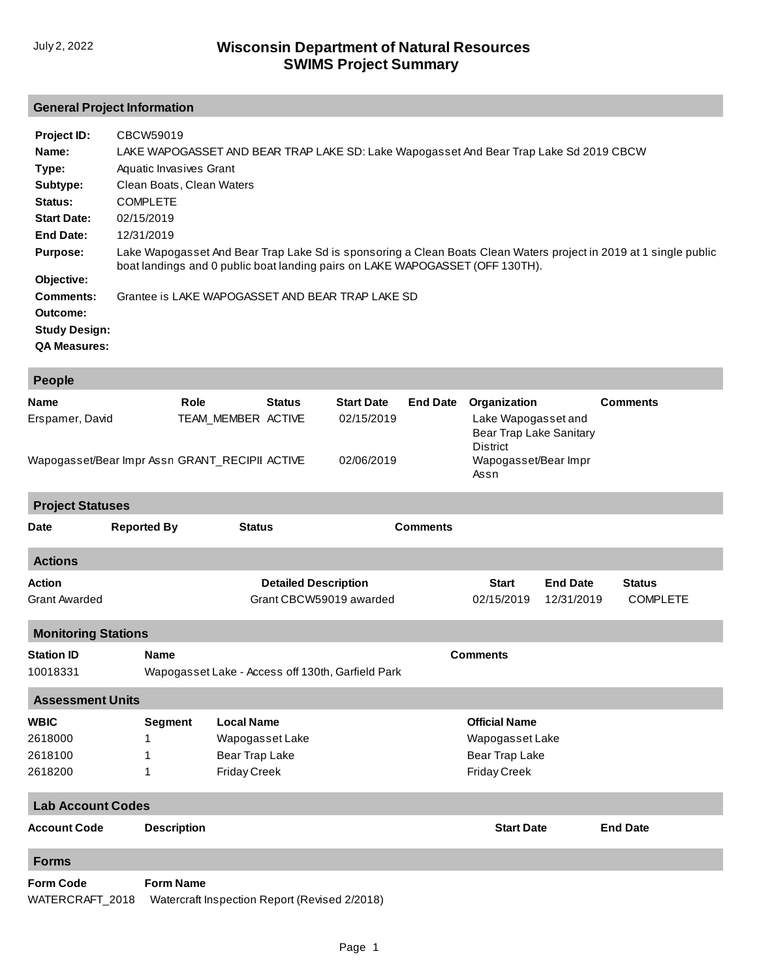## **General Project Information**

| Project ID:          | CBCW59019                                                                                                                                                                                          |
|----------------------|----------------------------------------------------------------------------------------------------------------------------------------------------------------------------------------------------|
| Name:                | LAKE WAPOGASSET AND BEAR TRAP LAKE SD: Lake Wapogasset And Bear Trap Lake Sd 2019 CBCW                                                                                                             |
| Type:                | Aquatic Invasives Grant                                                                                                                                                                            |
| Subtype:             | Clean Boats, Clean Waters                                                                                                                                                                          |
| Status:              | <b>COMPLETE</b>                                                                                                                                                                                    |
| <b>Start Date:</b>   | 02/15/2019                                                                                                                                                                                         |
| End Date:            | 12/31/2019                                                                                                                                                                                         |
| <b>Purpose:</b>      | Lake Wapogasset And Bear Trap Lake Sd is sponsoring a Clean Boats Clean Waters project in 2019 at 1 single public<br>boat landings and 0 public boat landing pairs on LAKE WAPOGASSET (OFF 130TH). |
| Objective:           |                                                                                                                                                                                                    |
| Comments:            | Grantee is LAKE WAPOGASSET AND BEAR TRAP LAKE SD                                                                                                                                                   |
| Outcome:             |                                                                                                                                                                                                    |
| <b>Study Design:</b> |                                                                                                                                                                                                    |
| <b>QA Measures:</b>  |                                                                                                                                                                                                    |

| People                                         |                                                        |                                                   |               |                                               |                                       |                                                                                   |                               |                                  |  |  |
|------------------------------------------------|--------------------------------------------------------|---------------------------------------------------|---------------|-----------------------------------------------|---------------------------------------|-----------------------------------------------------------------------------------|-------------------------------|----------------------------------|--|--|
| <b>Name</b><br>Erspamer, David                 | Role                                                   | TEAM MEMBER ACTIVE                                | <b>Status</b> | <b>Start Date</b><br>02/15/2019               | <b>End Date</b>                       | Organization<br>Lake Wapogasset and<br>Bear Trap Lake Sanitary<br><b>District</b> |                               | <b>Comments</b>                  |  |  |
| Wapogasset/Bear Impr Assn GRANT_RECIPII ACTIVE |                                                        |                                                   |               | 02/06/2019                                    |                                       | Wapogasset/Bear Impr<br>Assn                                                      |                               |                                  |  |  |
| <b>Project Statuses</b>                        |                                                        |                                                   |               |                                               |                                       |                                                                                   |                               |                                  |  |  |
| <b>Date</b>                                    | <b>Reported By</b>                                     |                                                   |               | <b>Status</b><br><b>Comments</b>              |                                       |                                                                                   |                               |                                  |  |  |
| <b>Actions</b>                                 |                                                        |                                                   |               |                                               |                                       |                                                                                   |                               |                                  |  |  |
| <b>Action</b><br><b>Grant Awarded</b>          | <b>Detailed Description</b><br>Grant CBCW59019 awarded |                                                   |               |                                               |                                       | <b>Start</b><br>02/15/2019                                                        | <b>End Date</b><br>12/31/2019 | <b>Status</b><br><b>COMPLETE</b> |  |  |
| <b>Monitoring Stations</b>                     |                                                        |                                                   |               |                                               |                                       |                                                                                   |                               |                                  |  |  |
| <b>Station ID</b><br>10018331                  | <b>Name</b>                                            | Wapogasset Lake - Access off 130th, Garfield Park |               |                                               |                                       | <b>Comments</b>                                                                   |                               |                                  |  |  |
| <b>Assessment Units</b>                        |                                                        |                                                   |               |                                               |                                       |                                                                                   |                               |                                  |  |  |
| <b>WBIC</b>                                    | <b>Segment</b>                                         | <b>Local Name</b>                                 |               |                                               |                                       | <b>Official Name</b>                                                              |                               |                                  |  |  |
| 2618000                                        | 1.                                                     | Wapogasset Lake                                   |               |                                               |                                       | Wapogasset Lake                                                                   |                               |                                  |  |  |
| 2618100<br>2618200                             | Bear Trap Lake<br>1<br><b>Friday Creek</b><br>1        |                                                   |               |                                               | Bear Trap Lake<br><b>Friday Creek</b> |                                                                                   |                               |                                  |  |  |
| <b>Lab Account Codes</b>                       |                                                        |                                                   |               |                                               |                                       |                                                                                   |                               |                                  |  |  |
| <b>Account Code</b>                            | <b>Description</b>                                     |                                                   |               |                                               |                                       | <b>Start Date</b>                                                                 |                               | <b>End Date</b>                  |  |  |
| <b>Forms</b>                                   |                                                        |                                                   |               |                                               |                                       |                                                                                   |                               |                                  |  |  |
| <b>Form Code</b><br>WATERCRAFT_2018            | <b>Form Name</b>                                       |                                                   |               | Watercraft Inspection Report (Revised 2/2018) |                                       |                                                                                   |                               |                                  |  |  |